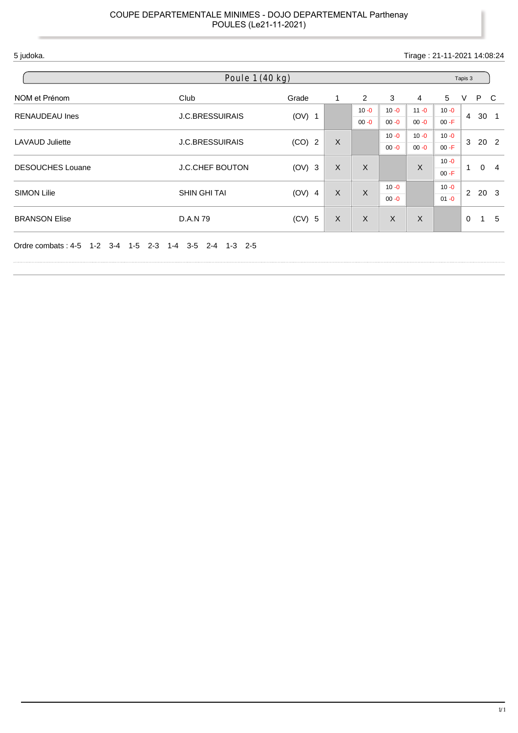## 5 judoka. Tirage : 21-11-2021 14:08:24

|                                              | Poule 1 (40 kg)                          |          |              |              |          |                |          |                |                 |                 |
|----------------------------------------------|------------------------------------------|----------|--------------|--------------|----------|----------------|----------|----------------|-----------------|-----------------|
| NOM et Prénom                                | Club                                     | Grade    | 1            | 2            | 3        | $\overline{4}$ | 5        | V              | P C             |                 |
| <b>RENAUDEAU</b> Ines                        | <b>J.C.BRESSUIRAIS</b>                   |          |              | $10 - 0$     | $10 - 0$ | $11 - 0$       | $10 - 0$ |                |                 |                 |
|                                              |                                          | $(OV)$ 1 |              |              | $00 - 0$ | $00 - 0$       | $00 - F$ | $\overline{4}$ |                 | 30 <sub>1</sub> |
|                                              |                                          |          |              |              | $10 - 0$ | $10 - 0$       | $10 - 0$ |                |                 |                 |
| <b>LAVAUD Juliette</b>                       | <b>J.C.BRESSUIRAIS</b>                   | $(CO)$ 2 | $\times$     |              | $00 - 0$ | $00 - 0$       | $00 - F$ | 3              | 20 <sub>2</sub> |                 |
|                                              |                                          |          |              | $\mathsf{X}$ |          | X              | $10 - 0$ | 1              |                 |                 |
| <b>DESOUCHES Louane</b>                      | <b>J.C.CHEF BOUTON</b>                   | $(OV)$ 3 | $\mathsf{X}$ |              |          |                | $00 - F$ |                | $\mathbf{0}$    | $\overline{4}$  |
|                                              |                                          |          | $\sf X$      | $\mathsf{X}$ | $10 - 0$ |                | $10 - 0$ | $\mathbf{2}$   |                 | 20 <sub>3</sub> |
| <b>SIMON Lilie</b>                           | <b>SHIN GHI TAI</b>                      | $(OV)$ 4 |              |              | $00 - 0$ |                | $01 - 0$ |                |                 |                 |
| <b>BRANSON Elise</b>                         | D.A.N 79                                 | $(CV)$ 5 | $\sf X$      | $\sf X$      | X        | X              |          | $\Omega$       | $\mathbf{1}$    | 5               |
| Ordre combats: 4-5<br>$1 - 2$ $3 - 4$<br>1-5 | $2 - 3$<br>$1-4$ $3-5$ $2-4$ $1-3$ $2-5$ |          |              |              |          |                |          |                |                 |                 |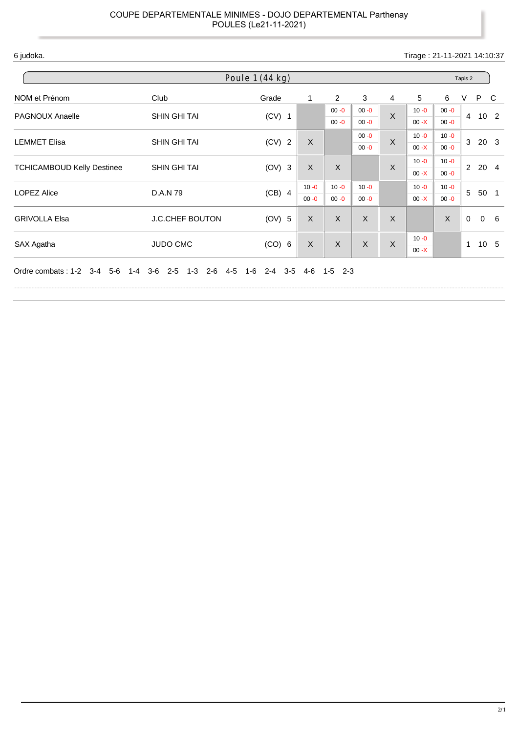6 judoka. Tirage : 21-11-2021 14:10:37

| Poule 1 (44 kg)                   |                        |          |              |          |              |   |          |          |                |             |                 |
|-----------------------------------|------------------------|----------|--------------|----------|--------------|---|----------|----------|----------------|-------------|-----------------|
| NOM et Prénom                     | Club                   | Grade    | $\mathbf{1}$ | 2        | 3            | 4 | 5        | 6        | V              | P C         |                 |
| <b>PAGNOUX Anaelle</b>            | <b>SHIN GHI TAI</b>    | $(CV)$ 1 |              | $00 - 0$ | $00 - 0$     | X | $10 - 0$ | $00 - 0$ | $\overline{4}$ |             | 10 <sub>2</sub> |
|                                   |                        |          |              | $00 - 0$ | $00 - 0$     |   | $00 - X$ | $00 - 0$ |                |             |                 |
| <b>LEMMET Elisa</b>               | <b>SHIN GHI TAI</b>    | $(CV)$ 2 | X            |          | $00 - 0$     | X | $10 - 0$ | $10 - 0$ | 3              |             | 20 3            |
|                                   |                        |          |              |          | $00 - 0$     |   | $00 - X$ | $00 - 0$ |                |             |                 |
|                                   |                        |          | X            | $\sf X$  |              | X | $10 - 0$ | $10 - 0$ |                |             |                 |
| <b>TCHICAMBOUD Kelly Destinee</b> | <b>SHIN GHI TAI</b>    | $(OV)$ 3 |              |          |              |   | $00 - X$ | $00 - 0$ |                | $2\ 20\ 4$  |                 |
|                                   |                        |          | $10 - 0$     | $10 - 0$ | $10 - 0$     |   | $10 - 0$ | $10 - 0$ |                |             |                 |
| <b>LOPEZ Alice</b>                | D.A.N 79               | $(CB)$ 4 | $00 - 0$     | $00 - 0$ | $00 - 0$     |   | $00 - X$ | $00 - 0$ | 5              | 50 1        |                 |
| <b>GRIVOLLA Elsa</b>              | <b>J.C.CHEF BOUTON</b> | $(OV)$ 5 | X            | X        | $\mathsf{X}$ | X |          | X        | $\mathbf 0$    | $\mathbf 0$ | - 6             |
|                                   |                        |          |              |          |              |   | $10 - 0$ |          |                |             |                 |
| SAX Agatha                        | <b>JUDO CMC</b>        | $(CO)$ 6 | X            | $\sf X$  | X            | X | $00 - X$ |          | $\mathbf{1}$   |             | 10 5            |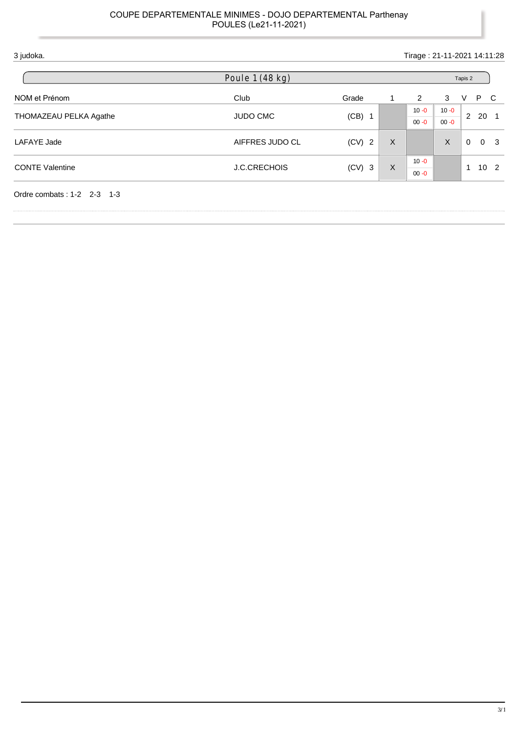| 3 judoka.                  | Tirage: 21-11-2021 14:11:28 |          |          |          |              |          |     |                 |  |  |
|----------------------------|-----------------------------|----------|----------|----------|--------------|----------|-----|-----------------|--|--|
|                            | Poule 1 (48 kg)             |          |          | Tapis 2  |              |          |     |                 |  |  |
| NOM et Prénom              | Club                        | Grade    | 1        | 2        | 3            | V        | P C |                 |  |  |
| THOMAZEAU PELKA Agathe     | <b>JUDO CMC</b>             |          | $10 - 0$ | $10 - 0$ |              | 2, 20, 1 |     |                 |  |  |
|                            |                             | $(CB)$ 1 |          | $00 - 0$ | $00 - 0$     |          |     |                 |  |  |
| LAFAYE Jade                | AIFFRES JUDO CL             | $(CV)$ 2 | X        |          | $\mathsf{X}$ | $\Omega$ |     | 0 <sup>3</sup>  |  |  |
|                            | <b>J.C.CRECHOIS</b>         |          |          | $10 - 0$ |              |          |     |                 |  |  |
| <b>CONTE Valentine</b>     |                             | $(CV)$ 3 | X        | $00 - 0$ |              | -1       |     | 10 <sub>2</sub> |  |  |
| Ordre combats: 1-2 2-3 1-3 |                             |          |          |          |              |          |     |                 |  |  |

ı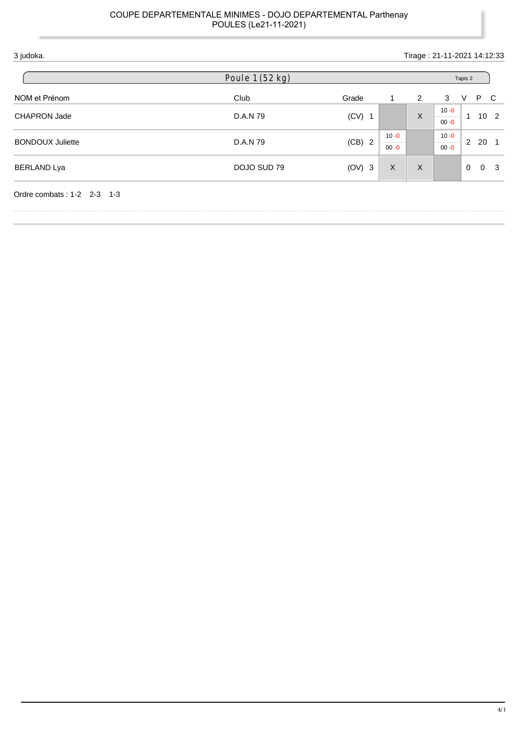| 3 judoka.                  |                 |          | Tirage: 21-11-2021 14:12:33 |   |                      |                                 |    |
|----------------------------|-----------------|----------|-----------------------------|---|----------------------|---------------------------------|----|
|                            | Poule 1 (52 kg) |          |                             |   |                      | Tapis 2                         |    |
| NOM et Prénom              | Club            | Grade    | 1                           | 2 | 3                    | P C<br>V                        |    |
| <b>CHAPRON Jade</b>        | D.A.N 79        | $(CV)$ 1 |                             | X | $10 - 0$<br>$00 - 0$ | 10 <sub>2</sub><br>$\mathbf{1}$ |    |
| <b>BONDOUX Juliette</b>    | D.A.N 79        | (CB) 2   | $10 - 0$<br>$00 - 0$        |   | $10 - 0$<br>$00 - 0$ | $\overline{2}$<br>20            |    |
| <b>BERLAND Lya</b>         | DOJO SUD 79     | $(OV)$ 3 | X                           | X |                      | $\mathbf 0$<br>$\overline{0}$   | -3 |
| Ordre combats: 1-2 2-3 1-3 |                 |          |                             |   |                      |                                 |    |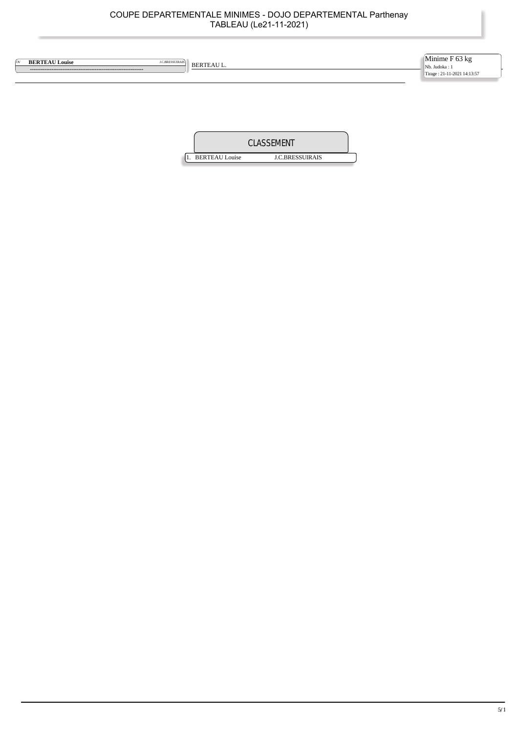| <b>BERTEAU Louise</b> | <b>J.C.BRESSUIRAIS</b> | <b>BERTEAU L.</b> | Minime $F$ 63 kg            |
|-----------------------|------------------------|-------------------|-----------------------------|
|                       |                        |                   | Nb. Judoka: i               |
|                       |                        |                   | Tirage: 21-11-2021 14:13:57 |
|                       |                        |                   |                             |

|                       | CLASSEMENT             |  |
|-----------------------|------------------------|--|
| <b>BERTEAU</b> Louise | <b>J.C.BRESSUIRAIS</b> |  |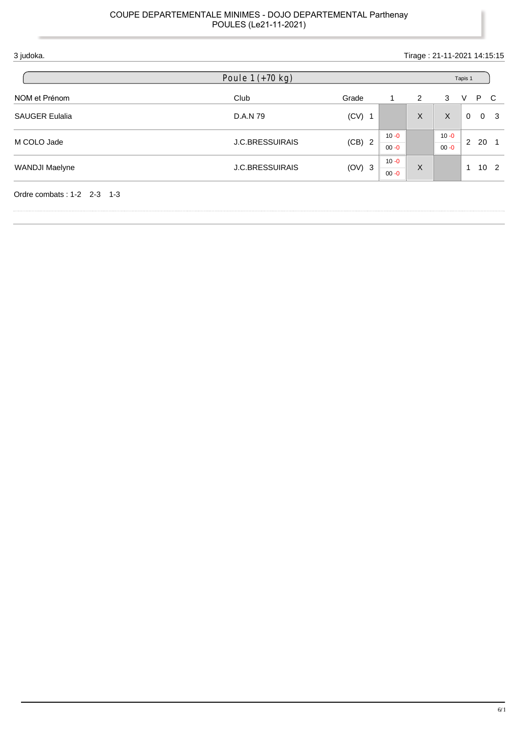| 3 judoka.                    | Tirage: 21-11-2021 14:15:15 |          |                      |   |                      |                      |                 |  |  |
|------------------------------|-----------------------------|----------|----------------------|---|----------------------|----------------------|-----------------|--|--|
|                              | Poule $1 (+70 kg)$          |          |                      |   | Tapis 1              |                      |                 |  |  |
| NOM et Prénom                | Club                        | Grade    | 1                    | 2 | 3                    | P C<br>V             |                 |  |  |
| <b>SAUGER Eulalia</b>        | D.A.N 79                    | $(CV)$ 1 |                      | X | X                    | $\mathbf 0$          | 0 <sup>3</sup>  |  |  |
| M COLO Jade                  | <b>J.C.BRESSUIRAIS</b>      | (CB) 2   | $10 - 0$<br>$00 - 0$ |   | $10 - 0$<br>$00 - 0$ | $\overline{2}$<br>20 |                 |  |  |
| WANDJI Maelyne               | <b>J.C.BRESSUIRAIS</b>      | $(OV)$ 3 | $10 - 0$<br>$00 - 0$ | X |                      | 1                    | 10 <sub>2</sub> |  |  |
| Ordre combats: $1-2$ 2-3 1-3 |                             |          |                      |   |                      |                      |                 |  |  |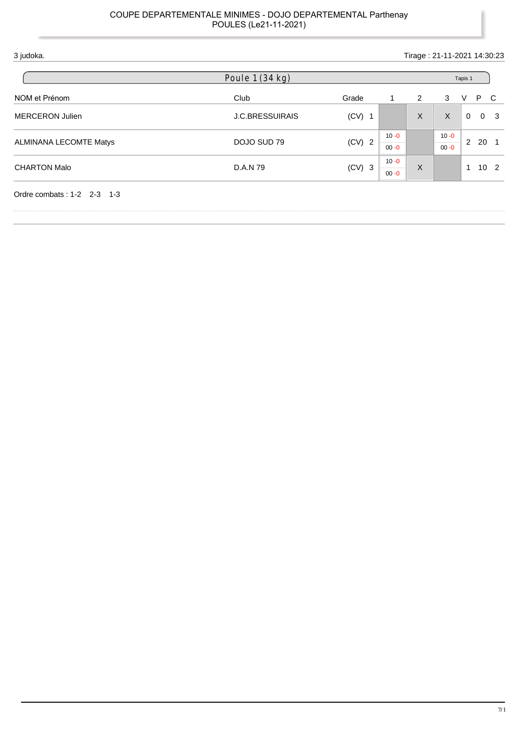| 3 judoka.                     | Tirage: 21-11-2021 14:30:23 |          |                      |   |                      |                                |  |  |  |
|-------------------------------|-----------------------------|----------|----------------------|---|----------------------|--------------------------------|--|--|--|
|                               | Poule 1 (34 kg)             |          |                      |   | Tapis 1              |                                |  |  |  |
| NOM et Prénom                 | Club                        | Grade    | 1                    | 2 | 3                    | P C<br>V                       |  |  |  |
| <b>MERCERON Julien</b>        | <b>J.C.BRESSUIRAIS</b>      | $(CV)$ 1 |                      | X | X                    | $\mathbf 0$<br>0 <sup>3</sup>  |  |  |  |
| <b>ALMINANA LECOMTE Matys</b> | DOJO SUD 79                 | $(CV)$ 2 | $10 - 0$<br>$00 - 0$ |   | $10 - 0$<br>$00 - 0$ | 2<br>20                        |  |  |  |
| <b>CHARTON Malo</b>           | D.A.N 79                    | $(CV)$ 3 | $10 - 0$<br>$00 - 0$ | X |                      | 10 <sub>2</sub><br>$\mathbf 1$ |  |  |  |
| Ordre combats: $1-2$ 2-3 1-3  |                             |          |                      |   |                      |                                |  |  |  |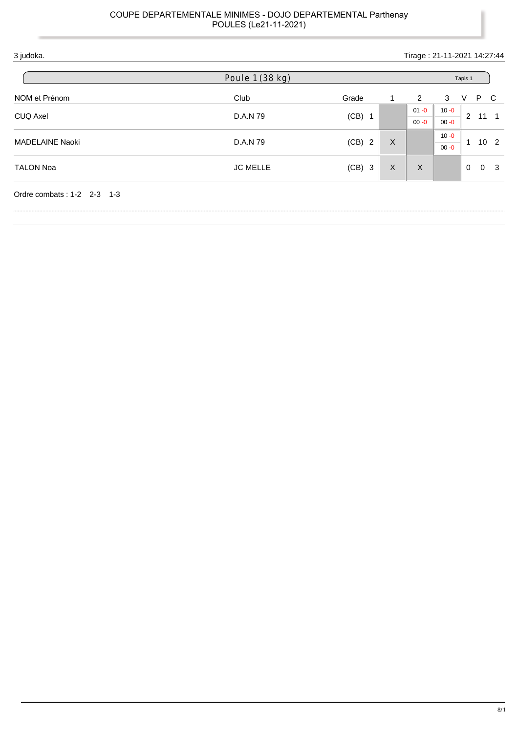| 3 judoka.                  | Tirage: 21-11-2021 14:27:44 |          |         |          |          |              |          |                 |  |  |
|----------------------------|-----------------------------|----------|---------|----------|----------|--------------|----------|-----------------|--|--|
|                            | Poule 1 (38 kg)             |          |         |          | Tapis 1  |              |          |                 |  |  |
| NOM et Prénom              | Club                        | Grade    | 1       | 2        | 3        | V            | P C      |                 |  |  |
|                            | D.A.N 79                    | $(CB)$ 1 |         | $01 - 0$ | $10 - 0$ |              | 2, 11, 1 |                 |  |  |
| <b>CUQ Axel</b>            |                             |          |         | $00 - 0$ | $00 - 0$ |              |          |                 |  |  |
| <b>MADELAINE Naoki</b>     | D.A.N 79                    | (CB) 2   | X       |          | $10 - 0$ | $\mathbf{1}$ |          | 10 <sub>2</sub> |  |  |
|                            |                             |          |         |          | $00 - 0$ |              |          |                 |  |  |
| <b>TALON Noa</b>           | <b>JC MELLE</b>             | $(CB)$ 3 | $\sf X$ | X        |          | $\mathbf 0$  |          | 0 <sup>3</sup>  |  |  |
| Ordre combats: 1-2 2-3 1-3 |                             |          |         |          |          |              |          |                 |  |  |

ı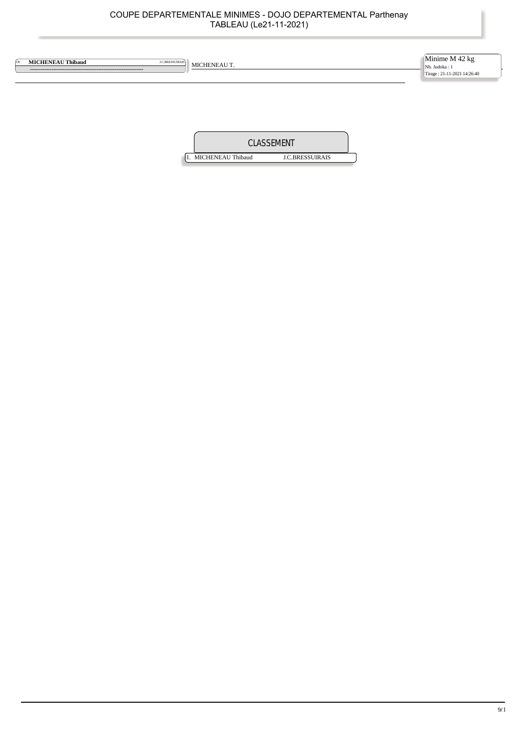| ίoν | <b>MICHENEAU Thibaud</b> | <b>J.C.BRESSUIRAIS</b> | MICHENEAU T. | Minime M 42 kg<br>Nb. Judoka: 1<br>Tirage: 21-11-2021 14:26:40 |
|-----|--------------------------|------------------------|--------------|----------------------------------------------------------------|
|     |                          |                        |              |                                                                |

|                   | CLASSEMENT<br><b>J.C.BRESSUIRAIS</b> |  |  |  |
|-------------------|--------------------------------------|--|--|--|
| MICHENEAU Thibaud |                                      |  |  |  |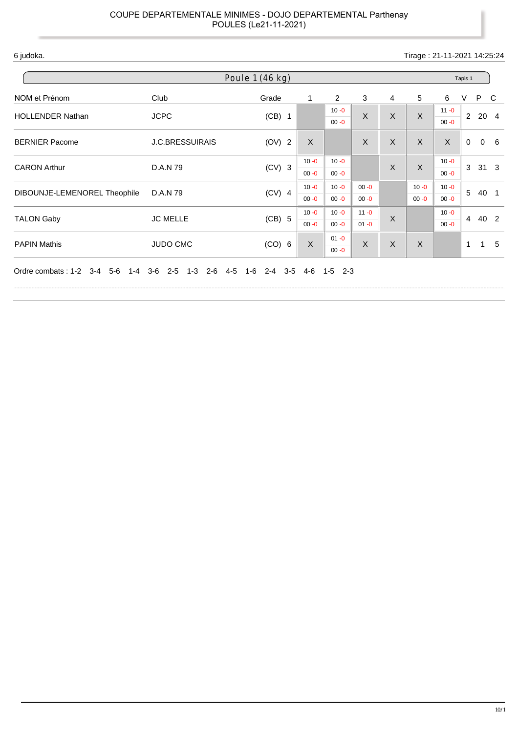6 judoka. Tirage : 21-11-2021 14:25:24

|                                         |                        | Poule 1 (46 kg)                       |              |                      |          |                |          |                      | Tapis 1        |                |      |
|-----------------------------------------|------------------------|---------------------------------------|--------------|----------------------|----------|----------------|----------|----------------------|----------------|----------------|------|
| NOM et Prénom                           | Club                   | Grade                                 | $\mathbf{1}$ | $\overline{2}$       | 3        | $\overline{4}$ | 5        | 6                    | V              | P C            |      |
| <b>HOLLENDER Nathan</b>                 | <b>JCPC</b>            | $(CB)$ 1                              |              | $10 - 0$<br>$00 - 0$ | X        | X              | $\sf X$  | $11 - 0$<br>$00 - 0$ |                | 2 20 4         |      |
| <b>BERNIER Pacome</b>                   | <b>J.C.BRESSUIRAIS</b> | (OV) 2                                | X            |                      | X        | $\mathsf{X}$   | $\sf X$  | $\mathsf{X}$         | $\overline{0}$ | $\overline{0}$ | 6    |
| <b>CARON Arthur</b>                     | D.A.N 79               | $(CV)$ 3                              | $10 - 0$     | $10 - 0$             |          | X              | X        | $10 - 0$             | $\mathbf{3}$   | $31 \quad 3$   |      |
|                                         |                        |                                       | $00 - 0$     | $00 - 0$             |          |                |          | $00 - 0$             |                |                |      |
|                                         | D.A.N 79               |                                       | $10 - 0$     | $10 - 0$             | $00 - 0$ |                | $10 - 0$ | $10 - 0$             | 5              |                | 40 1 |
| DIBOUNJE-LEMENOREL Theophile            |                        | $(CV)$ 4                              | $00 - 0$     | $00 - 0$             | $00 - 0$ |                | $00 - 0$ | $00 - 0$             |                |                |      |
|                                         |                        |                                       | $10 - 0$     | $10 - 0$             | $11 - 0$ |                |          | $10 - 0$             |                |                |      |
| <b>TALON Gaby</b>                       | <b>JC MELLE</b>        | $(CB)$ 5                              | $00 - 0$     | $00 - 0$             | $01 - 0$ | X              |          | $00 - 0$             |                | 4 40 2         |      |
|                                         |                        |                                       |              | $01 - 0$             |          |                |          |                      |                |                |      |
| <b>PAPIN Mathis</b>                     | <b>JUDO CMC</b>        | $(CO)$ 6                              | $\sf X$      | $00 - 0$             | X        | X              | X        |                      | $\mathbf{1}$   | $\mathbf{1}$   | 5    |
| Ordre combats : $1-2$ 3-4<br>5-6<br>1-4 | 3-6<br>1-3 2-6<br>2-5  | $4 - 5$<br>1-6<br>2-4 3-5 4-6 1-5 2-3 |              |                      |          |                |          |                      |                |                |      |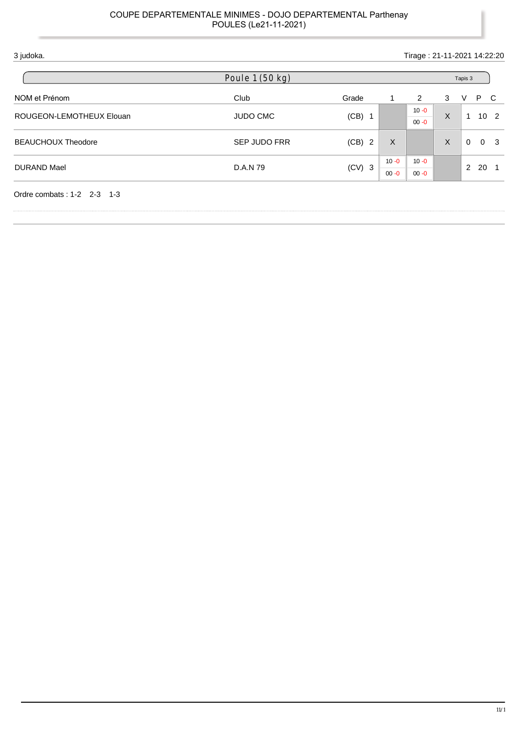| 3 judoka.                  |                     |          |                      |                      | Tirage: 21-11-2021 14:22:20 |              |    |                 |  |  |  |  |
|----------------------------|---------------------|----------|----------------------|----------------------|-----------------------------|--------------|----|-----------------|--|--|--|--|
|                            | Poule 1 (50 kg)     |          |                      |                      |                             | Tapis 3      |    |                 |  |  |  |  |
| NOM et Prénom              | Club                | Grade    | 1                    | 2                    | 3                           | V            | P. | $\mathbf{C}$    |  |  |  |  |
| ROUGEON-LEMOTHEUX Elouan   | <b>JUDO CMC</b>     | $(CB)$ 1 |                      | $10 - 0$<br>$00 - 0$ | $\sf X$                     | $\mathbf{1}$ |    | 10 <sub>2</sub> |  |  |  |  |
| <b>BEAUCHOUX Theodore</b>  | <b>SEP JUDO FRR</b> | (CB) 2   | X                    |                      | $\times$                    | $\Omega$     |    | 0 <sup>3</sup>  |  |  |  |  |
| <b>DURAND Mael</b>         | D.A.N 79            | $(CV)$ 3 | $10 - 0$<br>$00 - 0$ | $10 - 0$<br>$00 - 0$ |                             | 2            | 20 |                 |  |  |  |  |
| Ordre combats: 1-2 2-3 1-3 |                     |          |                      |                      |                             |              |    |                 |  |  |  |  |

Ï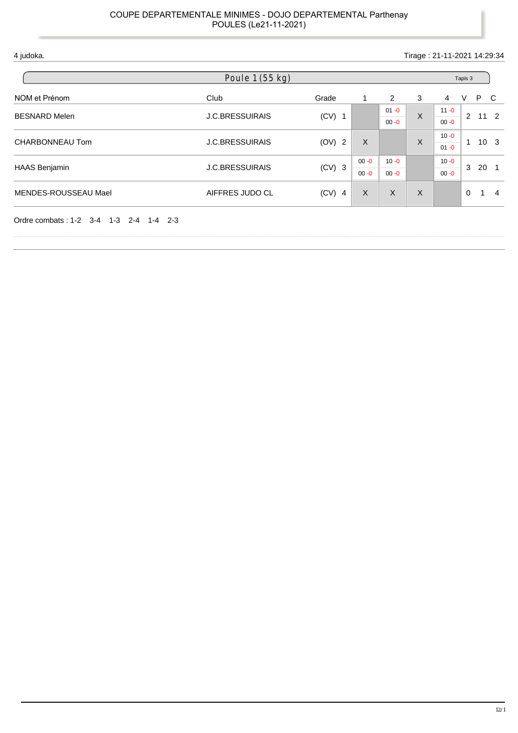|                      | Poule 1 (55 kg)        |                        |                      |          |   |          | Tapis 3        |                 |                |
|----------------------|------------------------|------------------------|----------------------|----------|---|----------|----------------|-----------------|----------------|
| NOM et Prénom        | Club                   | Grade                  | 1                    | 2        | 3 | 4        | $\vee$         | P.              | C              |
| <b>BESNARD Melen</b> | <b>J.C.BRESSUIRAIS</b> | $(CV)$ 1               |                      | $01 - 0$ | X | $11 - 0$ | $\overline{2}$ | 11 <sub>2</sub> |                |
|                      |                        |                        |                      | $00 - 0$ |   | $00 - 0$ |                |                 |                |
| CHARBONNEAU Tom      | <b>J.C.BRESSUIRAIS</b> | (OV) 2                 | X                    | X        |   | $10 - 0$ | $\mathbf{1}$   | 10 <sub>3</sub> |                |
|                      |                        |                        |                      |          |   | $01 - 0$ |                |                 |                |
| <b>HAAS Benjamin</b> | <b>J.C.BRESSUIRAIS</b> | $(CV)$ 3               | $00 - 0$<br>$00 - 0$ | $10 - 0$ |   | $10 - 0$ | $\mathbf{3}$   | 20              | - 1            |
|                      |                        |                        |                      | $00 - 0$ |   | $00 - 0$ |                |                 |                |
| MENDES-ROUSSEAU Mael | AIFFRES JUDO CL        | (CV)<br>$\overline{4}$ | X                    | $\sf X$  | X |          | $\mathbf 0$    | 1               | $\overline{4}$ |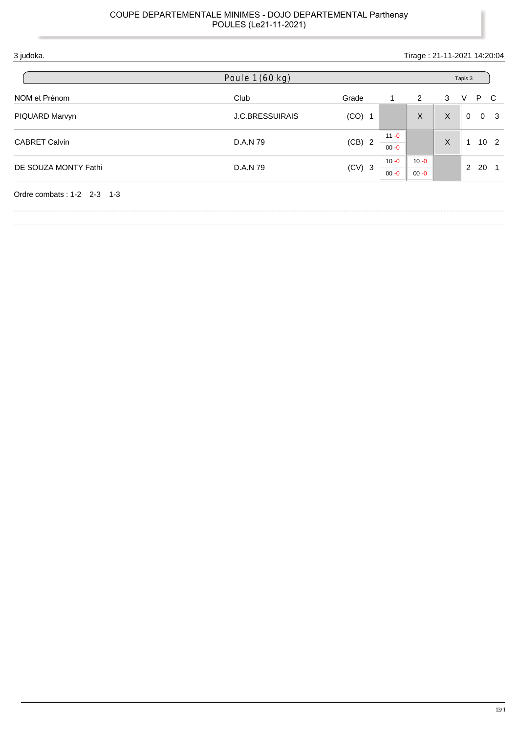| 3 judoka.                    |                        |          |                      |                      | Tirage: 21-11-2021 14:20:04 |                                |  |  |  |  |  |
|------------------------------|------------------------|----------|----------------------|----------------------|-----------------------------|--------------------------------|--|--|--|--|--|
|                              | Poule 1 (60 kg)        |          |                      |                      |                             | Tapis 3                        |  |  |  |  |  |
| NOM et Prénom                | Club                   | Grade    | 1                    | 2                    | 3                           | P<br>V<br>C                    |  |  |  |  |  |
| PIQUARD Marvyn               | <b>J.C.BRESSUIRAIS</b> | $(CO)$ 1 |                      | X                    | $\sf X$                     | 0 <sup>3</sup><br>$\mathbf 0$  |  |  |  |  |  |
| <b>CABRET Calvin</b>         | D.A.N 79               | (CB) 2   | $11 - 0$<br>$00 - 0$ |                      | $\sf X$                     | 10 <sub>2</sub><br>$\mathbf 1$ |  |  |  |  |  |
| DE SOUZA MONTY Fathi         | D.A.N 79               | $(CV)$ 3 | $10 - 0$<br>$00 - 0$ | $10 - 0$<br>$00 - 0$ |                             | 2<br>20                        |  |  |  |  |  |
| Ordre combats: $1-2$ 2-3 1-3 |                        |          |                      |                      |                             |                                |  |  |  |  |  |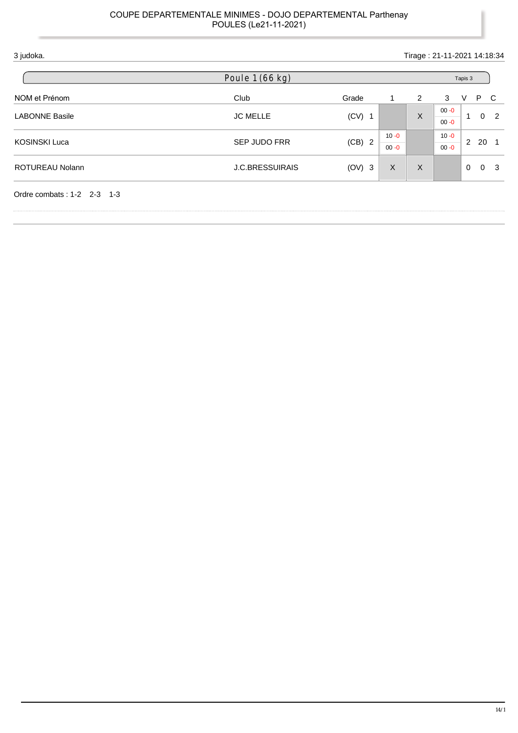| 3 judoka.                    |                        |          |                      |   | Tirage: 21-11-2021 14:18:34 |          |          |                |  |  |  |  |
|------------------------------|------------------------|----------|----------------------|---|-----------------------------|----------|----------|----------------|--|--|--|--|
|                              | Poule 1 (66 kg)        |          |                      |   | Tapis 3                     |          |          |                |  |  |  |  |
| NOM et Prénom                | Club                   | Grade    | 1                    | 2 | 3                           | V        | P        | C              |  |  |  |  |
| <b>LABONNE Basile</b>        | <b>JC MELLE</b>        | $(CV)$ 1 |                      | X | $00 - 0$<br>$00 - 0$        | 1        |          | 0 <sub>2</sub> |  |  |  |  |
| <b>KOSINSKI Luca</b>         | <b>SEP JUDO FRR</b>    | (CB) 2   | $10 - 0$<br>$00 - 0$ |   | $10 - 0$<br>$00 - 0$        | 2        | 20       |                |  |  |  |  |
| ROTUREAU Nolann              | <b>J.C.BRESSUIRAIS</b> | $(OV)$ 3 | $\sf X$              | X |                             | $\Omega$ | $\Omega$ | -3             |  |  |  |  |
| Ordre combats: $1-2$ 2-3 1-3 |                        |          |                      |   |                             |          |          |                |  |  |  |  |